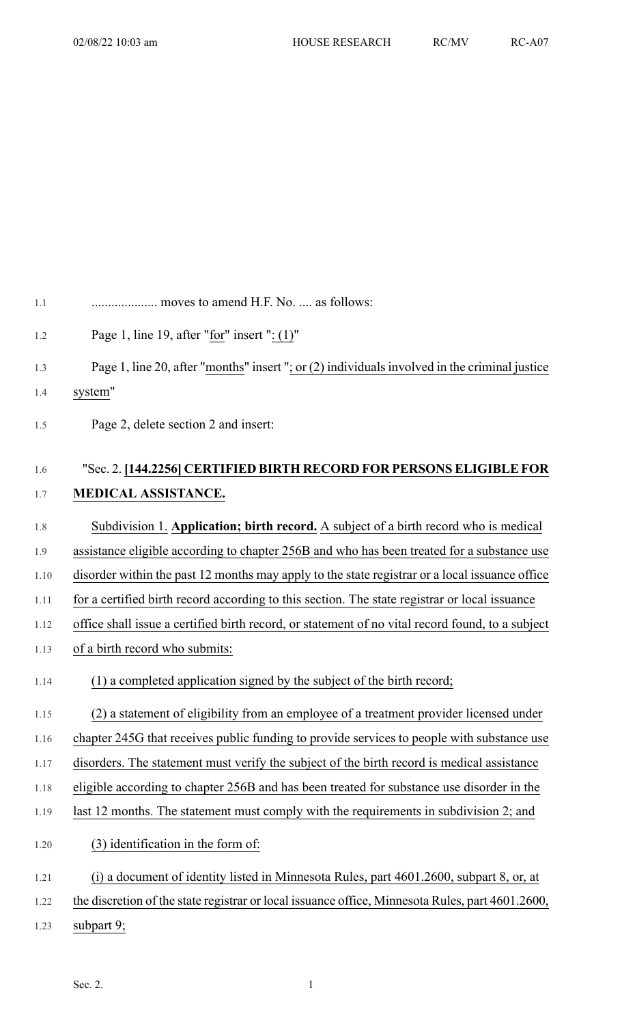| 1.1  | moves to amend H.F. No.  as follows:                                                              |
|------|---------------------------------------------------------------------------------------------------|
| 1.2  | Page 1, line 19, after "for" insert ": $(1)$ "                                                    |
| 1.3  | Page 1, line 20, after " $months$ " insert "; or (2) individuals involved in the criminal justice |
| 1.4  | system"                                                                                           |
| 1.5  | Page 2, delete section 2 and insert:                                                              |
| 1.6  | "Sec. 2. [144.2256] CERTIFIED BIRTH RECORD FOR PERSONS ELIGIBLE FOR                               |
| 1.7  | MEDICAL ASSISTANCE.                                                                               |
| 1.8  | Subdivision 1. Application; birth record. A subject of a birth record who is medical              |
| 1.9  | assistance eligible according to chapter 256B and who has been treated for a substance use        |
| 1.10 | disorder within the past 12 months may apply to the state registrar or a local issuance office    |
| 1.11 | for a certified birth record according to this section. The state registrar or local issuance     |
| 1.12 | office shall issue a certified birth record, or statement of no vital record found, to a subject  |
| 1.13 | of a birth record who submits:                                                                    |
| 1.14 | (1) a completed application signed by the subject of the birth record;                            |
| 1.15 | (2) a statement of eligibility from an employee of a treatment provider licensed under            |
| 1.16 | chapter 245G that receives public funding to provide services to people with substance use        |
| 1.17 | disorders. The statement must verify the subject of the birth record is medical assistance        |
| 1.18 | eligible according to chapter 256B and has been treated for substance use disorder in the         |
| 1.19 | last 12 months. The statement must comply with the requirements in subdivision 2; and             |
| 1.20 | (3) identification in the form of:                                                                |
| 1.21 | (i) a document of identity listed in Minnesota Rules, part 4601.2600, subpart 8, or, at           |
| 1.22 | the discretion of the state registrar or local issuance office, Minnesota Rules, part 4601.2600,  |
| 1.23 | subpart $9$ ;                                                                                     |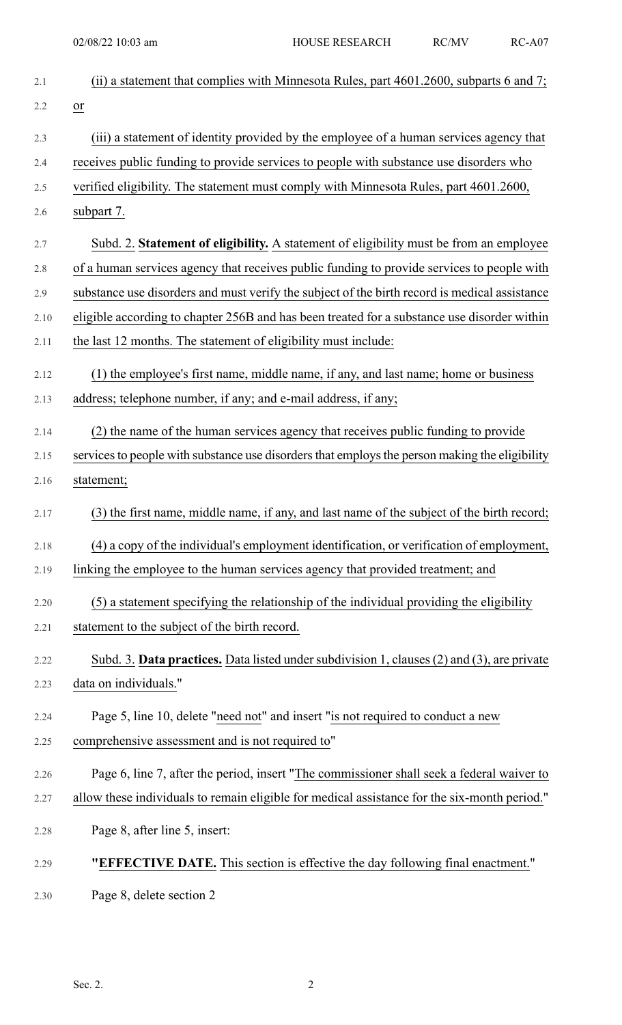| 2.1  | (ii) a statement that complies with Minnesota Rules, part $4601.2600$ , subparts 6 and 7;      |
|------|------------------------------------------------------------------------------------------------|
| 2.2  | $\overline{or}$                                                                                |
| 2.3  | (iii) a statement of identity provided by the employee of a human services agency that         |
| 2.4  | receives public funding to provide services to people with substance use disorders who         |
| 2.5  | verified eligibility. The statement must comply with Minnesota Rules, part 4601.2600,          |
| 2.6  | subpart 7.                                                                                     |
| 2.7  | Subd. 2. Statement of eligibility. A statement of eligibility must be from an employee         |
| 2.8  | of a human services agency that receives public funding to provide services to people with     |
| 2.9  | substance use disorders and must verify the subject of the birth record is medical assistance  |
| 2.10 | eligible according to chapter 256B and has been treated for a substance use disorder within    |
| 2.11 | the last 12 months. The statement of eligibility must include:                                 |
| 2.12 | (1) the employee's first name, middle name, if any, and last name; home or business            |
| 2.13 | address; telephone number, if any; and e-mail address, if any;                                 |
| 2.14 | (2) the name of the human services agency that receives public funding to provide              |
| 2.15 | services to people with substance use disorders that employs the person making the eligibility |
| 2.16 | statement;                                                                                     |
| 2.17 | (3) the first name, middle name, if any, and last name of the subject of the birth record;     |
| 2.18 | (4) a copy of the individual's employment identification, or verification of employment,       |
| 2.19 | linking the employee to the human services agency that provided treatment; and                 |
| 2.20 | (5) a statement specifying the relationship of the individual providing the eligibility        |
| 2.21 | statement to the subject of the birth record.                                                  |
| 2.22 | Subd. 3. Data practices. Data listed under subdivision 1, clauses (2) and (3), are private     |
| 2.23 | data on individuals."                                                                          |
| 2.24 | Page 5, line 10, delete "need not" and insert "is not required to conduct a new                |
| 2.25 | comprehensive assessment and is not required to"                                               |
| 2.26 | Page 6, line 7, after the period, insert "The commissioner shall seek a federal waiver to      |
| 2.27 | allow these individuals to remain eligible for medical assistance for the six-month period."   |
| 2.28 | Page 8, after line 5, insert:                                                                  |
| 2.29 | "EFFECTIVE DATE. This section is effective the day following final enactment."                 |
| 2.30 | Page 8, delete section 2                                                                       |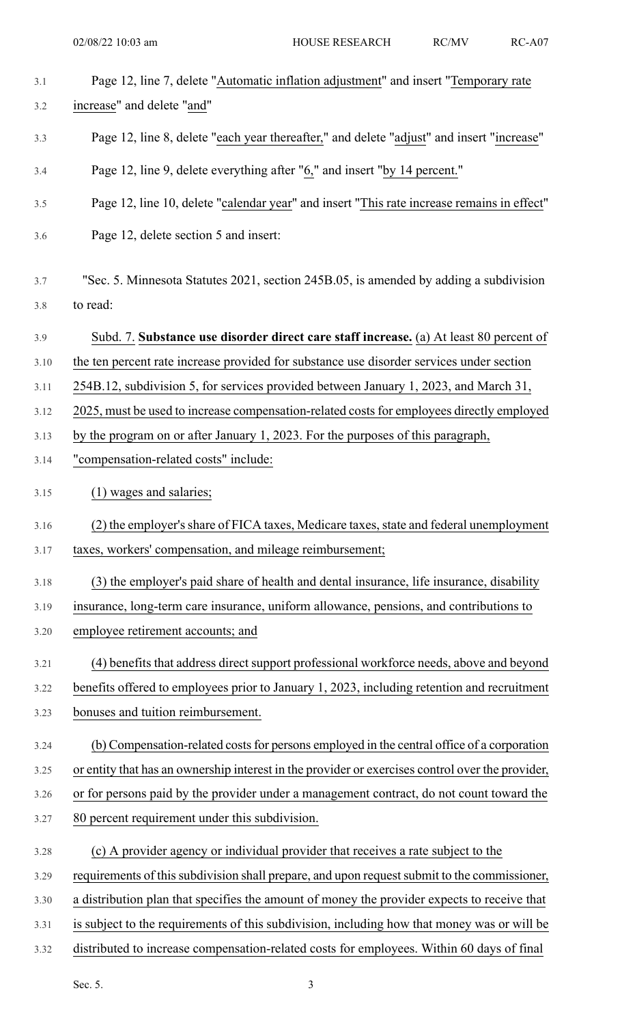| 3.1  | Page 12, line 7, delete "Automatic inflation adjustment" and insert "Temporary rate              |
|------|--------------------------------------------------------------------------------------------------|
| 3.2  | increase" and delete "and"                                                                       |
| 3.3  | Page 12, line 8, delete "each year thereafter," and delete "adjust" and insert "increase"        |
| 3.4  | Page 12, line 9, delete everything after "6," and insert "by 14 percent."                        |
| 3.5  | Page 12, line 10, delete "calendar year" and insert "This rate increase remains in effect"       |
| 3.6  | Page 12, delete section 5 and insert:                                                            |
| 3.7  | "Sec. 5. Minnesota Statutes 2021, section 245B.05, is amended by adding a subdivision            |
| 3.8  | to read:                                                                                         |
| 3.9  | Subd. 7. Substance use disorder direct care staff increase. (a) At least 80 percent of           |
| 3.10 | the ten percent rate increase provided for substance use disorder services under section         |
| 3.11 | 254B.12, subdivision 5, for services provided between January 1, 2023, and March 31,             |
| 3.12 | 2025, must be used to increase compensation-related costs for employees directly employed        |
| 3.13 | by the program on or after January 1, 2023. For the purposes of this paragraph,                  |
| 3.14 | "compensation-related costs" include:                                                            |
| 3.15 | (1) wages and salaries;                                                                          |
| 3.16 | (2) the employer's share of FICA taxes, Medicare taxes, state and federal unemployment           |
| 3.17 | taxes, workers' compensation, and mileage reimbursement;                                         |
| 3.18 | (3) the employer's paid share of health and dental insurance, life insurance, disability         |
| 3.19 | insurance, long-term care insurance, uniform allowance, pensions, and contributions to           |
| 3.20 | employee retirement accounts; and                                                                |
| 3.21 | (4) benefits that address direct support professional workforce needs, above and beyond          |
| 3.22 | benefits offered to employees prior to January 1, 2023, including retention and recruitment      |
| 3.23 | bonuses and tuition reimbursement.                                                               |
| 3.24 | (b) Compensation-related costs for persons employed in the central office of a corporation       |
| 3.25 | or entity that has an ownership interest in the provider or exercises control over the provider, |
| 3.26 | or for persons paid by the provider under a management contract, do not count toward the         |
| 3.27 | 80 percent requirement under this subdivision.                                                   |
| 3.28 | (c) A provider agency or individual provider that receives a rate subject to the                 |
| 3.29 | requirements of this subdivision shall prepare, and upon request submit to the commissioner,     |
| 3.30 | a distribution plan that specifies the amount of money the provider expects to receive that      |
| 3.31 | is subject to the requirements of this subdivision, including how that money was or will be      |
| 3.32 | distributed to increase compensation-related costs for employees. Within 60 days of final        |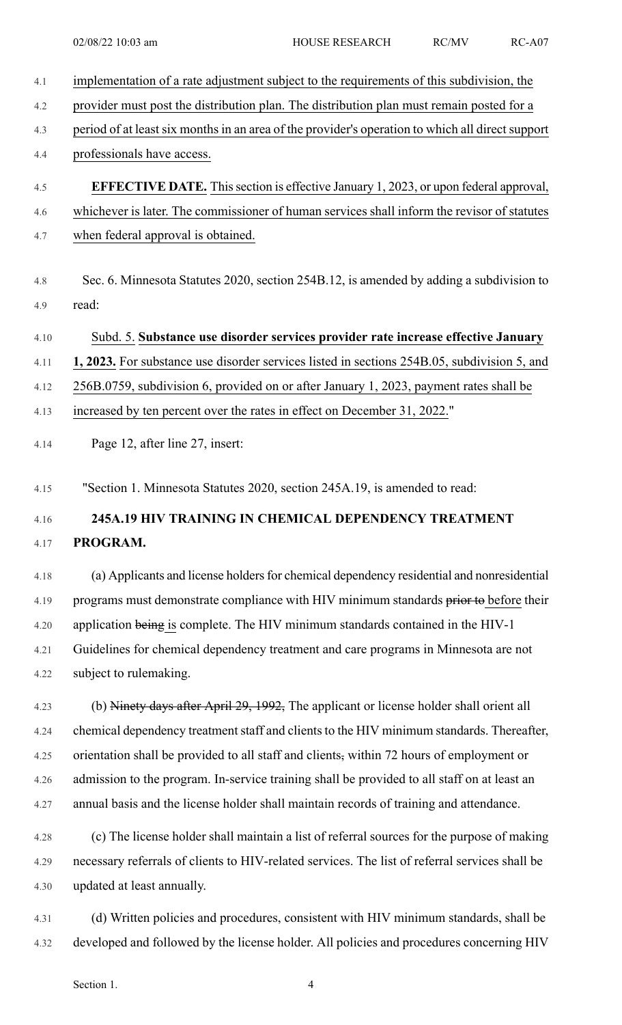| 4.1  | implementation of a rate adjustment subject to the requirements of this subdivision, the         |
|------|--------------------------------------------------------------------------------------------------|
| 4.2  | provider must post the distribution plan. The distribution plan must remain posted for a         |
| 4.3  | period of at least six months in an area of the provider's operation to which all direct support |
| 4.4  | professionals have access.                                                                       |
| 4.5  | <b>EFFECTIVE DATE.</b> This section is effective January 1, 2023, or upon federal approval,      |
| 4.6  | whichever is later. The commissioner of human services shall inform the revisor of statutes      |
| 4.7  | when federal approval is obtained.                                                               |
| 4.8  | Sec. 6. Minnesota Statutes 2020, section 254B.12, is amended by adding a subdivision to          |
| 4.9  | read:                                                                                            |
| 4.10 | Subd. 5. Substance use disorder services provider rate increase effective January                |
| 4.11 | 1, 2023. For substance use disorder services listed in sections 254B.05, subdivision 5, and      |
| 4.12 | 256B.0759, subdivision 6, provided on or after January 1, 2023, payment rates shall be           |
| 4.13 | increased by ten percent over the rates in effect on December 31, 2022."                         |
| 4.14 | Page 12, after line 27, insert:                                                                  |
| 4.15 | "Section 1. Minnesota Statutes 2020, section 245A.19, is amended to read:                        |
| 4.16 | 245A.19 HIV TRAINING IN CHEMICAL DEPENDENCY TREATMENT                                            |
| 4.17 | PROGRAM.                                                                                         |
| 4.18 | (a) Applicants and license holders for chemical dependency residential and nonresidential        |
| 4.19 | programs must demonstrate compliance with HIV minimum standards prior to before their            |
| 4.20 | application being is complete. The HIV minimum standards contained in the HIV-1                  |
| 4.21 | Guidelines for chemical dependency treatment and care programs in Minnesota are not              |
| 4.22 | subject to rulemaking.                                                                           |
| 4.23 | (b) Ninety days after April 29, 1992, The applicant or license holder shall orient all           |
| 4.24 | chemical dependency treatment staff and clients to the HIV minimum standards. Thereafter,        |
| 4.25 | orientation shall be provided to all staff and clients, within 72 hours of employment or         |
| 4.26 | admission to the program. In-service training shall be provided to all staff on at least an      |
| 4.27 | annual basis and the license holder shall maintain records of training and attendance.           |
| 4.28 | (c) The license holder shall maintain a list of referral sources for the purpose of making       |
| 4.29 | necessary referrals of clients to HIV-related services. The list of referral services shall be   |
| 4.30 | updated at least annually.                                                                       |
| 4.31 | (d) Written policies and procedures, consistent with HIV minimum standards, shall be             |

4.32 developed and followed by the license holder. All policies and procedures concerning HIV